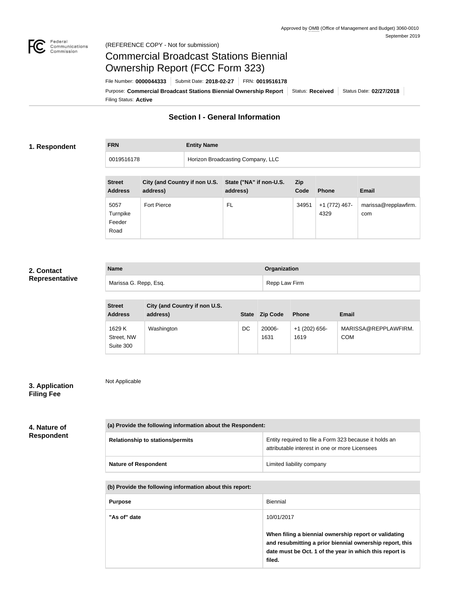

Not Applicable

# Commercial Broadcast Stations Biennial Ownership Report (FCC Form 323)

Filing Status: **Active** Purpose: Commercial Broadcast Stations Biennial Ownership Report Status: Received Status Date: 02/27/2018 File Number: **0000044333** Submit Date: **2018-02-27** FRN: **0019516178**

# **Section I - General Information**

# **1. Respondent**

**FRN Entity Name**

| 0019516178    |  | Horizon Broadcasting Company, LLC |                                                       |       |  |  |
|---------------|--|-----------------------------------|-------------------------------------------------------|-------|--|--|
|               |  |                                   |                                                       |       |  |  |
| <b>Street</b> |  |                                   | City (and Country if non U.S. State ("NA" if non-U.S. | – Zip |  |  |

| <b>SUGGL</b><br><b>Address</b>     | City (and Country in non-old. State (TNA In non-old.<br>address) | address) | <b>LID</b><br>Code | <b>Phone</b>          | <b>Email</b>                |
|------------------------------------|------------------------------------------------------------------|----------|--------------------|-----------------------|-----------------------------|
| 5057<br>Turnpike<br>Feeder<br>Road | Fort Pierce                                                      | FL       | 34951              | +1 (772) 467-<br>4329 | marissa@repplawfirm.<br>com |

# **2. Contact Representative**

| <b>Name</b>           | Organization  |  |
|-----------------------|---------------|--|
| Marissa G. Repp, Esq. | Repp Law Firm |  |

| <b>Street</b><br><b>Address</b>   | City (and Country if non U.S.<br>address) | <b>State</b> | <b>Zip Code</b> | <b>Phone</b>            | <b>Email</b>                       |
|-----------------------------------|-------------------------------------------|--------------|-----------------|-------------------------|------------------------------------|
| 1629 K<br>Street, NW<br>Suite 300 | Washington                                | DC           | 20006-<br>1631  | $+1$ (202) 656-<br>1619 | MARISSA@REPPLAWFIRM.<br><b>COM</b> |

# **3. Application Filing Fee**

# **4. Nature of Respondent**

| (a) Provide the following information about the Respondent: |                                                                                                          |  |  |  |  |  |
|-------------------------------------------------------------|----------------------------------------------------------------------------------------------------------|--|--|--|--|--|
| <b>Relationship to stations/permits</b>                     | Entity required to file a Form 323 because it holds an<br>attributable interest in one or more Licensees |  |  |  |  |  |
| <b>Nature of Respondent</b>                                 | Limited liability company                                                                                |  |  |  |  |  |

#### **(b) Provide the following information about this report:**

| <b>Purpose</b> | Biennial                                                                                                                                                                               |
|----------------|----------------------------------------------------------------------------------------------------------------------------------------------------------------------------------------|
| "As of" date   | 10/01/2017                                                                                                                                                                             |
|                | When filing a biennial ownership report or validating<br>and resubmitting a prior biennial ownership report, this<br>date must be Oct. 1 of the year in which this report is<br>filed. |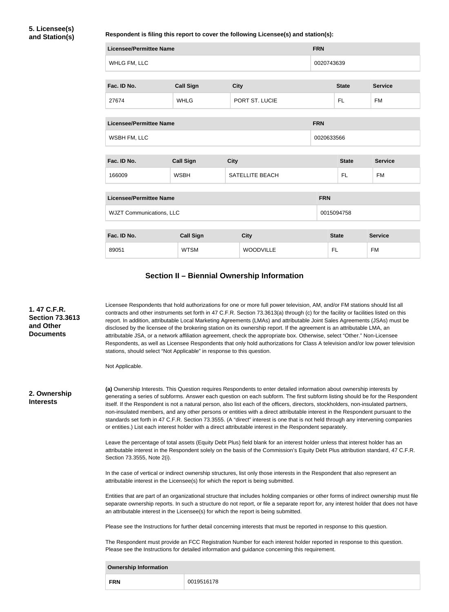## **Respondent is filing this report to cover the following Licensee(s) and station(s):**

| <b>Licensee/Permittee Name</b>  |                               | <b>FRN</b>             |                |                |  |  |
|---------------------------------|-------------------------------|------------------------|----------------|----------------|--|--|
| WHLG FM, LLC                    |                               | 0020743639             |                |                |  |  |
| Fac. ID No.                     | <b>Call Sign</b>              | <b>State</b>           | <b>Service</b> |                |  |  |
| 27674                           | PORT ST. LUCIE<br><b>WHLG</b> |                        |                | <b>FM</b>      |  |  |
| <b>Licensee/Permittee Name</b>  |                               | <b>FRN</b>             |                |                |  |  |
| WSBH FM, LLC                    |                               |                        | 0020633566     |                |  |  |
| Fac. ID No.                     | <b>Call Sign</b>              | <b>City</b>            | <b>State</b>   | <b>Service</b> |  |  |
| 166009                          | <b>WSBH</b>                   | <b>SATELLITE BEACH</b> | <b>FL</b>      | <b>FM</b>      |  |  |
| <b>Licensee/Permittee Name</b>  |                               |                        | <b>FRN</b>     |                |  |  |
| <b>WJZT Communications, LLC</b> |                               |                        | 0015094758     |                |  |  |
| Fac. ID No.                     | <b>Call Sign</b>              | <b>City</b>            | <b>State</b>   | <b>Service</b> |  |  |
| 89051                           |                               |                        |                |                |  |  |

# **Section II – Biennial Ownership Information**

| 1.47 C.F.R.<br><b>Section 73.3613</b><br>and Other<br><b>Documents</b>                                                                                                                                                   | Licensee Respondents that hold authorizations for one or more full power television, AM, and/or FM stations should list all<br>contracts and other instruments set forth in 47 C.F.R. Section 73.3613(a) through (c) for the facility or facilities listed on this<br>report. In addition, attributable Local Marketing Agreements (LMAs) and attributable Joint Sales Agreements (JSAs) must be<br>disclosed by the licensee of the brokering station on its ownership report. If the agreement is an attributable LMA, an<br>attributable JSA, or a network affiliation agreement, check the appropriate box. Otherwise, select "Other." Non-Licensee<br>Respondents, as well as Licensee Respondents that only hold authorizations for Class A television and/or low power television<br>stations, should select "Not Applicable" in response to this question. |                                                                                                                                                                                                                                                                   |  |  |  |  |  |
|--------------------------------------------------------------------------------------------------------------------------------------------------------------------------------------------------------------------------|--------------------------------------------------------------------------------------------------------------------------------------------------------------------------------------------------------------------------------------------------------------------------------------------------------------------------------------------------------------------------------------------------------------------------------------------------------------------------------------------------------------------------------------------------------------------------------------------------------------------------------------------------------------------------------------------------------------------------------------------------------------------------------------------------------------------------------------------------------------------|-------------------------------------------------------------------------------------------------------------------------------------------------------------------------------------------------------------------------------------------------------------------|--|--|--|--|--|
|                                                                                                                                                                                                                          | Not Applicable.                                                                                                                                                                                                                                                                                                                                                                                                                                                                                                                                                                                                                                                                                                                                                                                                                                                    |                                                                                                                                                                                                                                                                   |  |  |  |  |  |
| 2. Ownership<br><b>Interests</b>                                                                                                                                                                                         | (a) Ownership Interests. This Question requires Respondents to enter detailed information about ownership interests by<br>generating a series of subforms. Answer each question on each subform. The first subform listing should be for the Respondent<br>itself. If the Respondent is not a natural person, also list each of the officers, directors, stockholders, non-insulated partners,<br>non-insulated members, and any other persons or entities with a direct attributable interest in the Respondent pursuant to the<br>standards set forth in 47 C.F.R. Section 73.3555. (A "direct" interest is one that is not held through any intervening companies<br>or entities.) List each interest holder with a direct attributable interest in the Respondent separately.                                                                                  |                                                                                                                                                                                                                                                                   |  |  |  |  |  |
|                                                                                                                                                                                                                          | Section 73.3555, Note 2(i).                                                                                                                                                                                                                                                                                                                                                                                                                                                                                                                                                                                                                                                                                                                                                                                                                                        | Leave the percentage of total assets (Equity Debt Plus) field blank for an interest holder unless that interest holder has an<br>attributable interest in the Respondent solely on the basis of the Commission's Equity Debt Plus attribution standard, 47 C.F.R. |  |  |  |  |  |
|                                                                                                                                                                                                                          | In the case of vertical or indirect ownership structures, list only those interests in the Respondent that also represent an<br>attributable interest in the Licensee(s) for which the report is being submitted.                                                                                                                                                                                                                                                                                                                                                                                                                                                                                                                                                                                                                                                  |                                                                                                                                                                                                                                                                   |  |  |  |  |  |
|                                                                                                                                                                                                                          | Entities that are part of an organizational structure that includes holding companies or other forms of indirect ownership must file<br>separate ownership reports. In such a structure do not report, or file a separate report for, any interest holder that does not have<br>an attributable interest in the Licensee(s) for which the report is being submitted.                                                                                                                                                                                                                                                                                                                                                                                                                                                                                               |                                                                                                                                                                                                                                                                   |  |  |  |  |  |
|                                                                                                                                                                                                                          |                                                                                                                                                                                                                                                                                                                                                                                                                                                                                                                                                                                                                                                                                                                                                                                                                                                                    | Please see the Instructions for further detail concerning interests that must be reported in response to this question.                                                                                                                                           |  |  |  |  |  |
| The Respondent must provide an FCC Registration Number for each interest holder reported in response to this question.<br>Please see the Instructions for detailed information and guidance concerning this requirement. |                                                                                                                                                                                                                                                                                                                                                                                                                                                                                                                                                                                                                                                                                                                                                                                                                                                                    |                                                                                                                                                                                                                                                                   |  |  |  |  |  |
|                                                                                                                                                                                                                          | <b>Ownership Information</b>                                                                                                                                                                                                                                                                                                                                                                                                                                                                                                                                                                                                                                                                                                                                                                                                                                       |                                                                                                                                                                                                                                                                   |  |  |  |  |  |
|                                                                                                                                                                                                                          | <b>FRN</b>                                                                                                                                                                                                                                                                                                                                                                                                                                                                                                                                                                                                                                                                                                                                                                                                                                                         | 0019516178                                                                                                                                                                                                                                                        |  |  |  |  |  |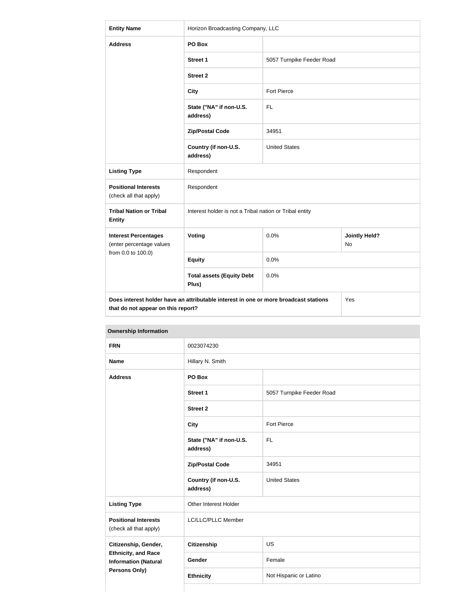| <b>Entity Name</b>                                                                                                         | Horizon Broadcasting Company, LLC                       |                           |                            |  |  |
|----------------------------------------------------------------------------------------------------------------------------|---------------------------------------------------------|---------------------------|----------------------------|--|--|
| <b>Address</b>                                                                                                             | PO Box                                                  |                           |                            |  |  |
|                                                                                                                            | Street 1                                                | 5057 Turnpike Feeder Road |                            |  |  |
|                                                                                                                            | <b>Street 2</b>                                         |                           |                            |  |  |
|                                                                                                                            | <b>City</b>                                             | Fort Pierce               |                            |  |  |
|                                                                                                                            | State ("NA" if non-U.S.<br>address)                     | <b>FL</b>                 |                            |  |  |
|                                                                                                                            | <b>Zip/Postal Code</b>                                  | 34951                     |                            |  |  |
|                                                                                                                            | Country (if non-U.S.<br>address)                        | <b>United States</b>      |                            |  |  |
| <b>Listing Type</b>                                                                                                        | Respondent                                              |                           |                            |  |  |
| <b>Positional Interests</b><br>(check all that apply)                                                                      | Respondent                                              |                           |                            |  |  |
| <b>Tribal Nation or Tribal</b><br><b>Entity</b>                                                                            | Interest holder is not a Tribal nation or Tribal entity |                           |                            |  |  |
| <b>Interest Percentages</b><br>(enter percentage values                                                                    | Voting                                                  | 0.0%                      | <b>Jointly Held?</b><br>No |  |  |
| from 0.0 to 100.0)                                                                                                         | <b>Equity</b>                                           | 0.0%                      |                            |  |  |
|                                                                                                                            | <b>Total assets (Equity Debt</b><br>Plus)               | 0.0%                      |                            |  |  |
| Does interest holder have an attributable interest in one or more broadcast stations<br>that do not appear on this report? | Yes                                                     |                           |                            |  |  |

| <b>FRN</b>                                                | 0023074230                          |                           |
|-----------------------------------------------------------|-------------------------------------|---------------------------|
| <b>Name</b>                                               | Hillary N. Smith                    |                           |
| <b>Address</b>                                            | PO Box                              |                           |
|                                                           | <b>Street 1</b>                     | 5057 Turnpike Feeder Road |
|                                                           | <b>Street 2</b>                     |                           |
|                                                           | <b>City</b>                         | Fort Pierce               |
|                                                           | State ("NA" if non-U.S.<br>address) | <b>FL</b>                 |
|                                                           | <b>Zip/Postal Code</b>              | 34951                     |
|                                                           | Country (if non-U.S.<br>address)    | <b>United States</b>      |
| <b>Listing Type</b>                                       | Other Interest Holder               |                           |
| <b>Positional Interests</b><br>(check all that apply)     | LC/LLC/PLLC Member                  |                           |
| Citizenship, Gender,                                      | <b>Citizenship</b>                  | US                        |
| <b>Ethnicity, and Race</b><br><b>Information (Natural</b> | Gender                              | Female                    |
| Persons Only)                                             | <b>Ethnicity</b>                    | Not Hispanic or Latino    |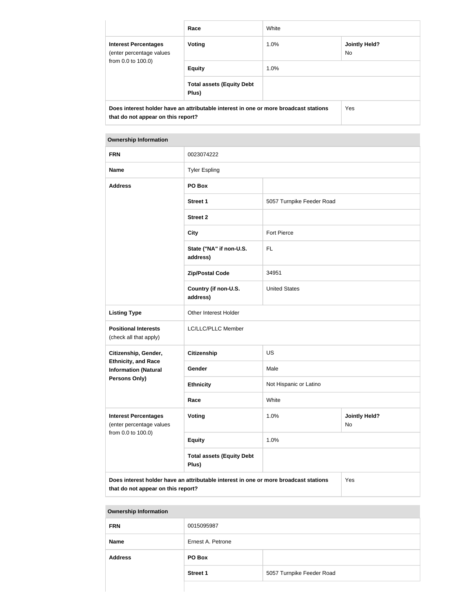|                                                                                                                            | Race                                      | White   |                             |  |
|----------------------------------------------------------------------------------------------------------------------------|-------------------------------------------|---------|-----------------------------|--|
| <b>Interest Percentages</b><br>(enter percentage values                                                                    | Voting                                    | $1.0\%$ | <b>Jointly Held?</b><br>No. |  |
| from 0.0 to 100.0)                                                                                                         | <b>Equity</b>                             | $1.0\%$ |                             |  |
|                                                                                                                            | <b>Total assets (Equity Debt</b><br>Plus) |         |                             |  |
| Does interest holder have an attributable interest in one or more broadcast stations<br>that do not appear on this report? | Yes                                       |         |                             |  |

| <b>Ownership Information</b>                                                                                                      |                                           |                           |                            |  |  |  |
|-----------------------------------------------------------------------------------------------------------------------------------|-------------------------------------------|---------------------------|----------------------------|--|--|--|
| <b>FRN</b>                                                                                                                        | 0023074222                                |                           |                            |  |  |  |
| <b>Name</b>                                                                                                                       | <b>Tyler Espling</b>                      |                           |                            |  |  |  |
| <b>Address</b>                                                                                                                    | PO Box                                    |                           |                            |  |  |  |
|                                                                                                                                   | <b>Street 1</b>                           | 5057 Turnpike Feeder Road |                            |  |  |  |
|                                                                                                                                   | <b>Street 2</b>                           |                           |                            |  |  |  |
|                                                                                                                                   | <b>City</b>                               | Fort Pierce               |                            |  |  |  |
|                                                                                                                                   | State ("NA" if non-U.S.<br>address)       | <b>FL</b>                 |                            |  |  |  |
|                                                                                                                                   | <b>Zip/Postal Code</b>                    | 34951                     |                            |  |  |  |
|                                                                                                                                   | Country (if non-U.S.<br>address)          | <b>United States</b>      |                            |  |  |  |
| <b>Listing Type</b>                                                                                                               | Other Interest Holder                     |                           |                            |  |  |  |
| <b>Positional Interests</b><br>(check all that apply)                                                                             | LC/LLC/PLLC Member                        |                           |                            |  |  |  |
| Citizenship, Gender,                                                                                                              | Citizenship                               | <b>US</b>                 |                            |  |  |  |
| <b>Ethnicity, and Race</b><br><b>Information (Natural</b>                                                                         | Gender                                    | Male                      |                            |  |  |  |
| Persons Only)                                                                                                                     | <b>Ethnicity</b>                          | Not Hispanic or Latino    |                            |  |  |  |
|                                                                                                                                   | Race                                      | White                     |                            |  |  |  |
| <b>Interest Percentages</b><br>(enter percentage values                                                                           | Voting                                    | 1.0%                      | <b>Jointly Held?</b><br>No |  |  |  |
| from 0.0 to 100.0)                                                                                                                | <b>Equity</b>                             | 1.0%                      |                            |  |  |  |
|                                                                                                                                   | <b>Total assets (Equity Debt</b><br>Plus) |                           |                            |  |  |  |
| Does interest holder have an attributable interest in one or more broadcast stations<br>Yes<br>that do not appear on this report? |                                           |                           |                            |  |  |  |

| <b>FRN</b>     | 0015095987        |                           |
|----------------|-------------------|---------------------------|
| <b>Name</b>    | Ernest A. Petrone |                           |
| <b>Address</b> | PO Box            |                           |
|                | <b>Street 1</b>   | 5057 Turnpike Feeder Road |
|                |                   |                           |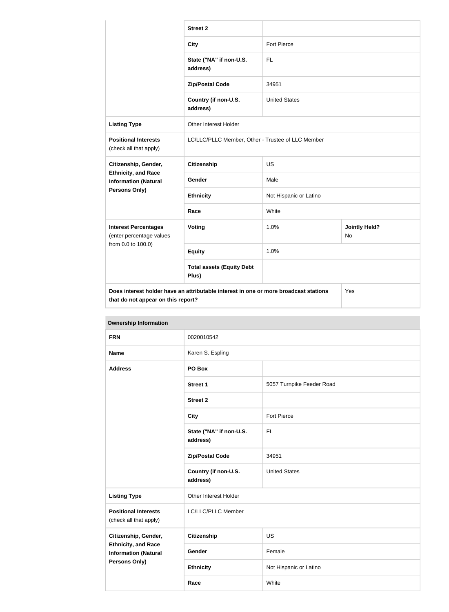|                                                           | <b>Street 2</b>                                                                      |                        |                            |
|-----------------------------------------------------------|--------------------------------------------------------------------------------------|------------------------|----------------------------|
|                                                           | <b>City</b>                                                                          | Fort Pierce            |                            |
|                                                           | State ("NA" if non-U.S.<br>address)                                                  | <b>FL</b>              |                            |
|                                                           | <b>Zip/Postal Code</b>                                                               | 34951                  |                            |
|                                                           | Country (if non-U.S.<br>address)                                                     | <b>United States</b>   |                            |
| <b>Listing Type</b>                                       | Other Interest Holder                                                                |                        |                            |
| <b>Positional Interests</b><br>(check all that apply)     | LC/LLC/PLLC Member, Other - Trustee of LLC Member                                    |                        |                            |
| Citizenship, Gender,                                      | <b>Citizenship</b>                                                                   | <b>US</b>              |                            |
| <b>Ethnicity, and Race</b><br><b>Information (Natural</b> | Gender                                                                               | Male                   |                            |
| <b>Persons Only)</b>                                      | <b>Ethnicity</b>                                                                     | Not Hispanic or Latino |                            |
|                                                           | Race                                                                                 | White                  |                            |
| <b>Interest Percentages</b><br>(enter percentage values   | <b>Voting</b>                                                                        | 1.0%                   | <b>Jointly Held?</b><br>No |
| from 0.0 to 100.0)                                        | <b>Equity</b>                                                                        | 1.0%                   |                            |
|                                                           | <b>Total assets (Equity Debt</b><br>Plus)                                            |                        |                            |
| that do not appear on this report?                        | Does interest holder have an attributable interest in one or more broadcast stations |                        | Yes                        |

| <b>Ownership Information</b>                                                      |                                     |                           |  |
|-----------------------------------------------------------------------------------|-------------------------------------|---------------------------|--|
| <b>FRN</b>                                                                        | 0020010542                          |                           |  |
| <b>Name</b>                                                                       | Karen S. Espling                    |                           |  |
| <b>Address</b>                                                                    | PO Box                              |                           |  |
|                                                                                   | <b>Street 1</b>                     | 5057 Turnpike Feeder Road |  |
|                                                                                   | <b>Street 2</b>                     |                           |  |
|                                                                                   | <b>City</b>                         | <b>Fort Pierce</b>        |  |
|                                                                                   | State ("NA" if non-U.S.<br>address) | <b>FL</b>                 |  |
|                                                                                   | <b>Zip/Postal Code</b>              | 34951                     |  |
|                                                                                   | Country (if non-U.S.<br>address)    | <b>United States</b>      |  |
| <b>Listing Type</b>                                                               | Other Interest Holder               |                           |  |
| <b>Positional Interests</b><br>(check all that apply)                             | LC/LLC/PLLC Member                  |                           |  |
| Citizenship, Gender,<br><b>Ethnicity, and Race</b><br><b>Information (Natural</b> | <b>Citizenship</b>                  | US                        |  |
|                                                                                   | Gender                              | Female                    |  |
| <b>Persons Only)</b>                                                              | <b>Ethnicity</b>                    | Not Hispanic or Latino    |  |

**Race** White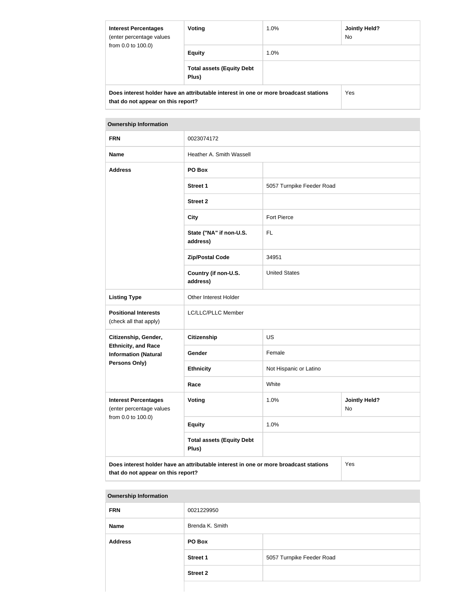| <b>Interest Percentages</b><br>(enter percentage values<br>from 0.0 to 100.0)        | Voting                                    | $1.0\%$ | <b>Jointly Held?</b><br>No. |
|--------------------------------------------------------------------------------------|-------------------------------------------|---------|-----------------------------|
|                                                                                      | <b>Equity</b>                             | $1.0\%$ |                             |
|                                                                                      | <b>Total assets (Equity Debt</b><br>Plus) |         |                             |
| Does interest holder have an attributable interest in one or more broadcast stations |                                           |         | Yes                         |
| that do not appear on this report?                                                   |                                           |         |                             |

| <b>FRN</b>                                                                                                                        | 0023074172                                |                                    |  |
|-----------------------------------------------------------------------------------------------------------------------------------|-------------------------------------------|------------------------------------|--|
| <b>Name</b>                                                                                                                       | Heather A. Smith Wassell                  |                                    |  |
| <b>Address</b>                                                                                                                    | PO Box                                    |                                    |  |
|                                                                                                                                   | <b>Street 1</b>                           | 5057 Turnpike Feeder Road          |  |
|                                                                                                                                   | <b>Street 2</b>                           |                                    |  |
|                                                                                                                                   | <b>City</b>                               | <b>Fort Pierce</b>                 |  |
|                                                                                                                                   | State ("NA" if non-U.S.<br>address)       | FL                                 |  |
|                                                                                                                                   | <b>Zip/Postal Code</b>                    | 34951                              |  |
|                                                                                                                                   | Country (if non-U.S.<br>address)          | <b>United States</b>               |  |
| <b>Listing Type</b>                                                                                                               | Other Interest Holder                     |                                    |  |
| <b>Positional Interests</b><br>(check all that apply)                                                                             | LC/LLC/PLLC Member                        |                                    |  |
| Citizenship, Gender,                                                                                                              | <b>Citizenship</b>                        | <b>US</b>                          |  |
| <b>Ethnicity, and Race</b><br><b>Information (Natural</b>                                                                         | Gender                                    | Female                             |  |
| <b>Persons Only)</b>                                                                                                              | <b>Ethnicity</b>                          | Not Hispanic or Latino             |  |
|                                                                                                                                   | Race                                      | White                              |  |
| <b>Interest Percentages</b><br>(enter percentage values                                                                           | <b>Voting</b>                             | 1.0%<br><b>Jointly Held?</b><br>No |  |
| from 0.0 to 100.0)                                                                                                                | <b>Equity</b>                             | 1.0%                               |  |
|                                                                                                                                   | <b>Total assets (Equity Debt</b><br>Plus) |                                    |  |
| Does interest holder have an attributable interest in one or more broadcast stations<br>Yes<br>that do not appear on this report? |                                           |                                    |  |

| <b>Ownership Information</b> |                 |                           |
|------------------------------|-----------------|---------------------------|
| <b>FRN</b>                   | 0021229950      |                           |
| <b>Name</b>                  | Brenda K. Smith |                           |
| <b>Address</b>               | PO Box          |                           |
|                              | <b>Street 1</b> | 5057 Turnpike Feeder Road |
|                              | <b>Street 2</b> |                           |
|                              |                 |                           |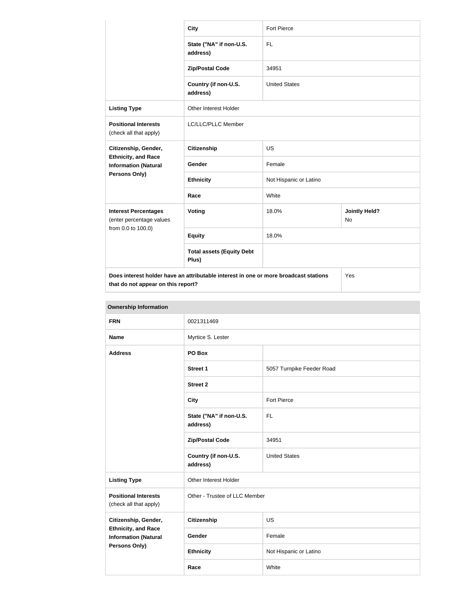|                                                                                                                            | <b>City</b>                               | <b>Fort Pierce</b>     |                            |
|----------------------------------------------------------------------------------------------------------------------------|-------------------------------------------|------------------------|----------------------------|
|                                                                                                                            | State ("NA" if non-U.S.<br>address)       | <b>FL</b>              |                            |
|                                                                                                                            | <b>Zip/Postal Code</b>                    | 34951                  |                            |
|                                                                                                                            | Country (if non-U.S.<br>address)          | <b>United States</b>   |                            |
| <b>Listing Type</b>                                                                                                        | <b>Other Interest Holder</b>              |                        |                            |
| <b>Positional Interests</b><br>(check all that apply)                                                                      | LC/LLC/PLLC Member                        |                        |                            |
| Citizenship, Gender,                                                                                                       | <b>Citizenship</b>                        | <b>US</b>              |                            |
| <b>Ethnicity, and Race</b><br><b>Information (Natural</b>                                                                  | Gender                                    | Female                 |                            |
| <b>Persons Only)</b>                                                                                                       | <b>Ethnicity</b>                          | Not Hispanic or Latino |                            |
|                                                                                                                            | Race                                      | White                  |                            |
| <b>Interest Percentages</b><br>(enter percentage values                                                                    | Voting                                    | 18.0%                  | <b>Jointly Held?</b><br>No |
| from 0.0 to 100.0)                                                                                                         | <b>Equity</b>                             | 18.0%                  |                            |
|                                                                                                                            | <b>Total assets (Equity Debt</b><br>Plus) |                        |                            |
| Does interest holder have an attributable interest in one or more broadcast stations<br>that do not appear on this report? |                                           |                        | Yes                        |

| <b>Ownership Information</b>                                                      |                                     |                           |  |
|-----------------------------------------------------------------------------------|-------------------------------------|---------------------------|--|
| <b>FRN</b>                                                                        | 0021311469                          |                           |  |
| <b>Name</b>                                                                       | Myrtice S. Lester                   |                           |  |
| <b>Address</b>                                                                    | PO Box                              |                           |  |
|                                                                                   | <b>Street 1</b>                     | 5057 Turnpike Feeder Road |  |
|                                                                                   | <b>Street 2</b>                     |                           |  |
|                                                                                   | <b>City</b>                         | <b>Fort Pierce</b>        |  |
|                                                                                   | State ("NA" if non-U.S.<br>address) | <b>FL</b>                 |  |
|                                                                                   | <b>Zip/Postal Code</b>              | 34951                     |  |
|                                                                                   | Country (if non-U.S.<br>address)    | <b>United States</b>      |  |
| <b>Listing Type</b>                                                               | Other Interest Holder               |                           |  |
| <b>Positional Interests</b><br>(check all that apply)                             | Other - Trustee of LLC Member       |                           |  |
| Citizenship, Gender,                                                              | Citizenship                         | <b>US</b>                 |  |
| <b>Ethnicity, and Race</b><br><b>Information (Natural</b><br><b>Persons Only)</b> | Gender                              | Female                    |  |
|                                                                                   | <b>Ethnicity</b>                    | Not Hispanic or Latino    |  |
|                                                                                   | Race                                | White                     |  |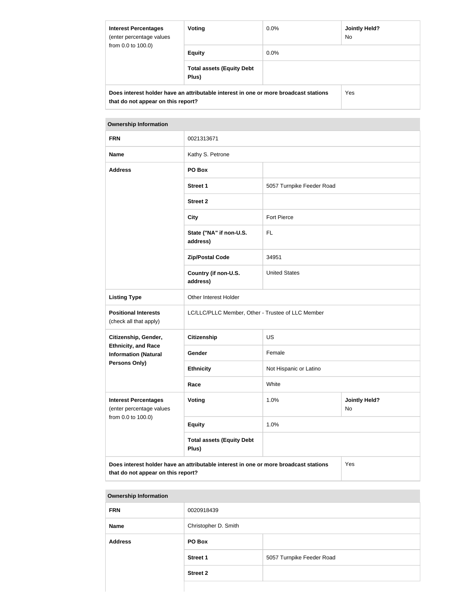| <b>Interest Percentages</b><br>(enter percentage values<br>from 0.0 to 100.0)                                              | Voting                                    | $0.0\%$ | Jointly Held?<br>No. |
|----------------------------------------------------------------------------------------------------------------------------|-------------------------------------------|---------|----------------------|
|                                                                                                                            | <b>Equity</b>                             | $0.0\%$ |                      |
|                                                                                                                            | <b>Total assets (Equity Debt</b><br>Plus) |         |                      |
| Does interest holder have an attributable interest in one or more broadcast stations<br>that do not appear on this report? |                                           |         | Yes                  |

| <b>FRN</b>                                                                                                                        | 0021313671                                        |                                    |  |
|-----------------------------------------------------------------------------------------------------------------------------------|---------------------------------------------------|------------------------------------|--|
| <b>Name</b>                                                                                                                       | Kathy S. Petrone                                  |                                    |  |
| <b>Address</b>                                                                                                                    | PO Box                                            |                                    |  |
|                                                                                                                                   | <b>Street 1</b>                                   | 5057 Turnpike Feeder Road          |  |
|                                                                                                                                   | <b>Street 2</b>                                   |                                    |  |
|                                                                                                                                   | <b>City</b>                                       | <b>Fort Pierce</b>                 |  |
|                                                                                                                                   | State ("NA" if non-U.S.<br>address)               | FL                                 |  |
|                                                                                                                                   | <b>Zip/Postal Code</b>                            | 34951                              |  |
|                                                                                                                                   | Country (if non-U.S.<br>address)                  | <b>United States</b>               |  |
| <b>Listing Type</b>                                                                                                               | Other Interest Holder                             |                                    |  |
| <b>Positional Interests</b><br>(check all that apply)                                                                             | LC/LLC/PLLC Member, Other - Trustee of LLC Member |                                    |  |
| Citizenship, Gender,                                                                                                              | <b>Citizenship</b>                                | <b>US</b>                          |  |
| <b>Ethnicity, and Race</b><br><b>Information (Natural</b>                                                                         | Gender                                            | Female                             |  |
| <b>Persons Only)</b>                                                                                                              | <b>Ethnicity</b>                                  | Not Hispanic or Latino             |  |
|                                                                                                                                   | Race                                              | White                              |  |
| <b>Interest Percentages</b><br>(enter percentage values                                                                           | <b>Voting</b>                                     | 1.0%<br><b>Jointly Held?</b><br>No |  |
| from 0.0 to 100.0)                                                                                                                | <b>Equity</b>                                     | 1.0%                               |  |
|                                                                                                                                   | <b>Total assets (Equity Debt</b><br>Plus)         |                                    |  |
| Does interest holder have an attributable interest in one or more broadcast stations<br>Yes<br>that do not appear on this report? |                                                   |                                    |  |

| <b>Ownership Information</b> |                      |                           |
|------------------------------|----------------------|---------------------------|
| <b>FRN</b>                   | 0020918439           |                           |
| <b>Name</b>                  | Christopher D. Smith |                           |
| <b>Address</b>               | PO Box               |                           |
|                              | <b>Street 1</b>      | 5057 Turnpike Feeder Road |
|                              | <b>Street 2</b>      |                           |
|                              |                      |                           |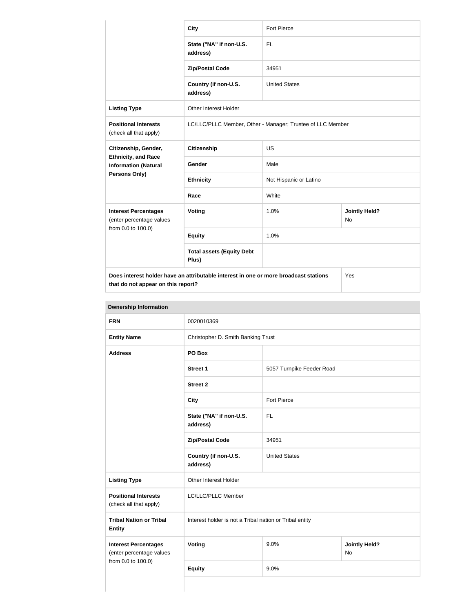|                                                                                                                            | <b>City</b>                                                | <b>Fort Pierce</b>     |                                   |
|----------------------------------------------------------------------------------------------------------------------------|------------------------------------------------------------|------------------------|-----------------------------------|
|                                                                                                                            | State ("NA" if non-U.S.<br>address)                        | <b>FL</b>              |                                   |
|                                                                                                                            | <b>Zip/Postal Code</b>                                     | 34951                  |                                   |
|                                                                                                                            | Country (if non-U.S.<br>address)                           | <b>United States</b>   |                                   |
| <b>Listing Type</b>                                                                                                        | <b>Other Interest Holder</b>                               |                        |                                   |
| <b>Positional Interests</b><br>(check all that apply)                                                                      | LC/LLC/PLLC Member, Other - Manager; Trustee of LLC Member |                        |                                   |
| Citizenship, Gender,                                                                                                       | <b>Citizenship</b>                                         | <b>US</b>              |                                   |
| <b>Ethnicity, and Race</b><br><b>Information (Natural</b>                                                                  | <b>Gender</b>                                              | Male                   |                                   |
| Persons Only)                                                                                                              | <b>Ethnicity</b>                                           | Not Hispanic or Latino |                                   |
|                                                                                                                            | Race                                                       | White                  |                                   |
| <b>Interest Percentages</b><br>(enter percentage values                                                                    | Voting                                                     | 1.0%                   | <b>Jointly Held?</b><br><b>No</b> |
| from 0.0 to 100.0)                                                                                                         | <b>Equity</b>                                              | 1.0%                   |                                   |
|                                                                                                                            | <b>Total assets (Equity Debt</b><br>Plus)                  |                        |                                   |
| Does interest holder have an attributable interest in one or more broadcast stations<br>that do not appear on this report? |                                                            |                        | Yes                               |

| <b>Ownership Information</b>                                                  |                                                         |                                    |  |
|-------------------------------------------------------------------------------|---------------------------------------------------------|------------------------------------|--|
| <b>FRN</b>                                                                    | 0020010369                                              |                                    |  |
| <b>Entity Name</b>                                                            | Christopher D. Smith Banking Trust                      |                                    |  |
| <b>Address</b>                                                                | PO Box                                                  |                                    |  |
|                                                                               | <b>Street 1</b>                                         | 5057 Turnpike Feeder Road          |  |
|                                                                               | <b>Street 2</b>                                         |                                    |  |
|                                                                               | <b>City</b>                                             | Fort Pierce                        |  |
|                                                                               | State ("NA" if non-U.S.<br>address)                     | <b>FL</b>                          |  |
|                                                                               | <b>Zip/Postal Code</b>                                  | 34951                              |  |
|                                                                               | Country (if non-U.S.<br>address)                        | <b>United States</b>               |  |
| <b>Listing Type</b>                                                           | Other Interest Holder                                   |                                    |  |
| <b>Positional Interests</b><br>(check all that apply)                         | LC/LLC/PLLC Member                                      |                                    |  |
| <b>Tribal Nation or Tribal</b><br><b>Entity</b>                               | Interest holder is not a Tribal nation or Tribal entity |                                    |  |
| <b>Interest Percentages</b><br>(enter percentage values<br>from 0.0 to 100.0) | Voting                                                  | 9.0%<br><b>Jointly Held?</b><br>No |  |
|                                                                               | <b>Equity</b>                                           | 9.0%                               |  |
|                                                                               |                                                         |                                    |  |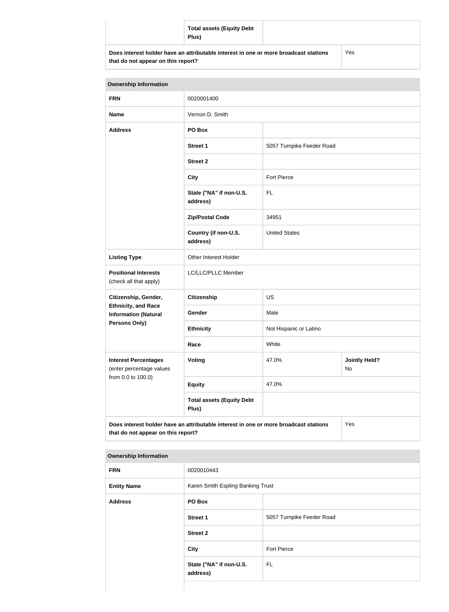|                                                                                      | <b>Total assets (Equity Debt</b><br>Plus) |  |     |
|--------------------------------------------------------------------------------------|-------------------------------------------|--|-----|
| Does interest holder have an attributable interest in one or more broadcast stations |                                           |  | Yes |

**that do not appear on this report?**

| <b>Ownership Information</b>                                                                                                      |                                           |                           |                            |  |
|-----------------------------------------------------------------------------------------------------------------------------------|-------------------------------------------|---------------------------|----------------------------|--|
| <b>FRN</b>                                                                                                                        | 0020001400                                |                           |                            |  |
| <b>Name</b>                                                                                                                       | Vernon D. Smith                           |                           |                            |  |
| <b>Address</b>                                                                                                                    | PO Box                                    |                           |                            |  |
|                                                                                                                                   | <b>Street 1</b>                           | 5057 Turnpike Feeder Road |                            |  |
|                                                                                                                                   | <b>Street 2</b>                           |                           |                            |  |
|                                                                                                                                   | <b>City</b>                               | <b>Fort Pierce</b>        |                            |  |
|                                                                                                                                   | State ("NA" if non-U.S.<br>address)       | <b>FL</b>                 |                            |  |
|                                                                                                                                   | <b>Zip/Postal Code</b>                    | 34951                     |                            |  |
|                                                                                                                                   | Country (if non-U.S.<br>address)          | <b>United States</b>      |                            |  |
| <b>Listing Type</b>                                                                                                               | Other Interest Holder                     |                           |                            |  |
| <b>Positional Interests</b><br>(check all that apply)                                                                             | LC/LLC/PLLC Member                        |                           |                            |  |
| Citizenship, Gender,                                                                                                              | <b>Citizenship</b>                        | <b>US</b>                 |                            |  |
| <b>Ethnicity, and Race</b><br><b>Information (Natural</b>                                                                         | Gender                                    | Male                      |                            |  |
| <b>Persons Only)</b>                                                                                                              | <b>Ethnicity</b>                          | Not Hispanic or Latino    |                            |  |
|                                                                                                                                   | Race                                      | White                     |                            |  |
| <b>Interest Percentages</b><br>(enter percentage values                                                                           | Voting                                    | 47.0%                     | <b>Jointly Held?</b><br>No |  |
| from 0.0 to 100.0)                                                                                                                | <b>Equity</b>                             | 47.0%                     |                            |  |
|                                                                                                                                   | <b>Total assets (Equity Debt</b><br>Plus) |                           |                            |  |
| Does interest holder have an attributable interest in one or more broadcast stations<br>Yes<br>that do not appear on this report? |                                           |                           |                            |  |

**Ownership Information FRN** 0020010443 **Entity Name** Karen Smith Espling Banking Trust **Address PO Box Street 1** 5057 Turnpike Feeder Road **Street 2 City Fort Pierce State ("NA" if non-U.S. address)** FL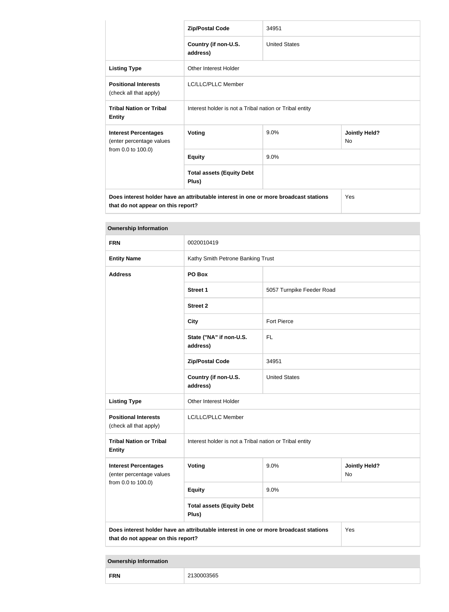|                                                                                                                            | <b>Zip/Postal Code</b>                                  | 34951                |                                   |  |
|----------------------------------------------------------------------------------------------------------------------------|---------------------------------------------------------|----------------------|-----------------------------------|--|
|                                                                                                                            | Country (if non-U.S.<br>address)                        | <b>United States</b> |                                   |  |
| <b>Listing Type</b>                                                                                                        | Other Interest Holder                                   |                      |                                   |  |
| <b>Positional Interests</b><br>(check all that apply)                                                                      | LC/LLC/PLLC Member                                      |                      |                                   |  |
| <b>Tribal Nation or Tribal</b><br><b>Entity</b>                                                                            | Interest holder is not a Tribal nation or Tribal entity |                      |                                   |  |
| <b>Interest Percentages</b><br>(enter percentage values                                                                    | <b>Voting</b>                                           | 9.0%                 | <b>Jointly Held?</b><br><b>No</b> |  |
| from 0.0 to 100.0)                                                                                                         | <b>Equity</b>                                           | 9.0%                 |                                   |  |
|                                                                                                                            | <b>Total assets (Equity Debt</b><br>Plus)               |                      |                                   |  |
| Does interest holder have an attributable interest in one or more broadcast stations<br>that do not appear on this report? |                                                         |                      | Yes                               |  |

| <b>Ownership Information</b>                            |                                                                                      |                                   |                            |  |
|---------------------------------------------------------|--------------------------------------------------------------------------------------|-----------------------------------|----------------------------|--|
| <b>FRN</b>                                              | 0020010419                                                                           |                                   |                            |  |
| <b>Entity Name</b>                                      |                                                                                      | Kathy Smith Petrone Banking Trust |                            |  |
| <b>Address</b>                                          | PO Box                                                                               |                                   |                            |  |
|                                                         | <b>Street 1</b>                                                                      | 5057 Turnpike Feeder Road         |                            |  |
|                                                         | <b>Street 2</b>                                                                      |                                   |                            |  |
|                                                         | <b>City</b>                                                                          | <b>Fort Pierce</b>                |                            |  |
|                                                         | State ("NA" if non-U.S.<br>address)                                                  | FL                                |                            |  |
|                                                         | <b>Zip/Postal Code</b>                                                               | 34951                             |                            |  |
|                                                         | Country (if non-U.S.<br>address)                                                     | <b>United States</b>              |                            |  |
| <b>Listing Type</b>                                     | Other Interest Holder                                                                |                                   |                            |  |
| <b>Positional Interests</b><br>(check all that apply)   | LC/LLC/PLLC Member                                                                   |                                   |                            |  |
| <b>Tribal Nation or Tribal</b><br><b>Entity</b>         | Interest holder is not a Tribal nation or Tribal entity                              |                                   |                            |  |
| <b>Interest Percentages</b><br>(enter percentage values | Voting                                                                               | 9.0%                              | <b>Jointly Held?</b><br>No |  |
| from 0.0 to 100.0)                                      | <b>Equity</b>                                                                        | 9.0%                              |                            |  |
|                                                         | <b>Total assets (Equity Debt</b><br>Plus)                                            |                                   |                            |  |
| that do not appear on this report?                      | Does interest holder have an attributable interest in one or more broadcast stations |                                   | Yes                        |  |

| <b>Ownership Information</b> |            |
|------------------------------|------------|
| <b>FRN</b>                   | 2130003565 |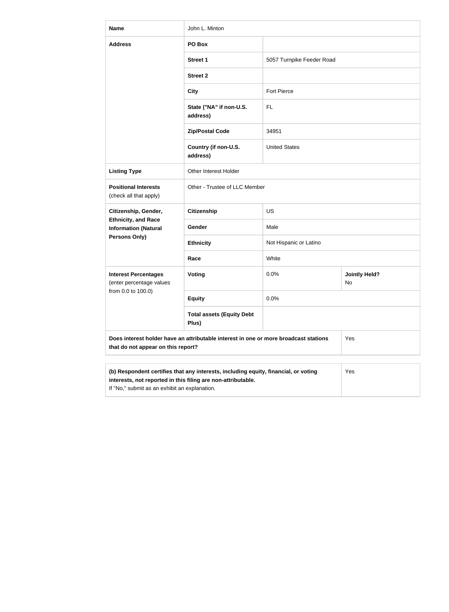| <b>Name</b>                                                                                                                                                | John L. Minton                                                                       |                           |                            |  |
|------------------------------------------------------------------------------------------------------------------------------------------------------------|--------------------------------------------------------------------------------------|---------------------------|----------------------------|--|
| <b>Address</b>                                                                                                                                             | PO Box                                                                               |                           |                            |  |
|                                                                                                                                                            | <b>Street 1</b>                                                                      | 5057 Turnpike Feeder Road |                            |  |
|                                                                                                                                                            | <b>Street 2</b>                                                                      |                           |                            |  |
|                                                                                                                                                            | <b>City</b>                                                                          | <b>Fort Pierce</b>        |                            |  |
|                                                                                                                                                            | State ("NA" if non-U.S.<br>address)                                                  | FL                        |                            |  |
|                                                                                                                                                            | <b>Zip/Postal Code</b>                                                               | 34951                     |                            |  |
|                                                                                                                                                            | Country (if non-U.S.<br>address)                                                     | <b>United States</b>      |                            |  |
| <b>Listing Type</b>                                                                                                                                        | Other Interest Holder                                                                |                           |                            |  |
| <b>Positional Interests</b><br>(check all that apply)                                                                                                      | Other - Trustee of LLC Member                                                        |                           |                            |  |
| Citizenship, Gender,                                                                                                                                       | <b>Citizenship</b>                                                                   | <b>US</b>                 |                            |  |
| <b>Ethnicity, and Race</b><br><b>Information (Natural</b>                                                                                                  | <b>Gender</b>                                                                        | Male                      |                            |  |
| Persons Only)                                                                                                                                              | <b>Ethnicity</b>                                                                     | Not Hispanic or Latino    |                            |  |
|                                                                                                                                                            | Race                                                                                 | White                     |                            |  |
| <b>Interest Percentages</b><br>(enter percentage values                                                                                                    | <b>Voting</b>                                                                        | 0.0%                      | <b>Jointly Held?</b><br>No |  |
| from 0.0 to 100.0)                                                                                                                                         | <b>Equity</b>                                                                        | 0.0%                      |                            |  |
|                                                                                                                                                            | <b>Total assets (Equity Debt</b><br>Plus)                                            |                           |                            |  |
| that do not appear on this report?                                                                                                                         | Does interest holder have an attributable interest in one or more broadcast stations |                           | Yes                        |  |
|                                                                                                                                                            |                                                                                      |                           |                            |  |
| (b) Respondent certifies that any interests, including equity, financial, or voting<br>Yes<br>interests, not reported in this filing are non-attributable. |                                                                                      |                           |                            |  |

If "No," submit as an exhibit an explanation.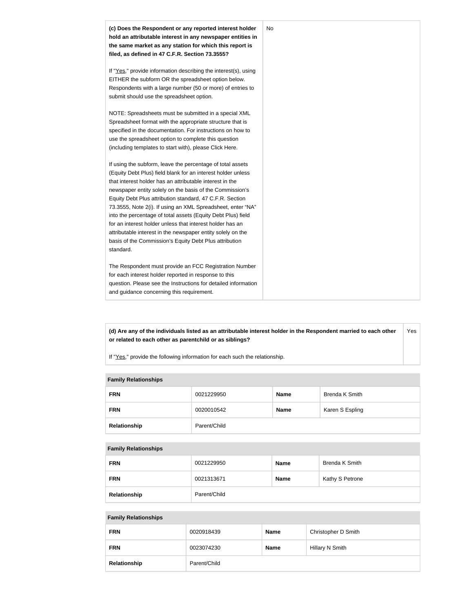

**(d) Are any of the individuals listed as an attributable interest holder in the Respondent married to each other or related to each other as parentchild or as siblings?** Yes

If "Yes," provide the following information for each such the relationship.

### **Family Relationships**

| <b>FRN</b>   | 0021229950   | <b>Name</b> | Brenda K Smith  |
|--------------|--------------|-------------|-----------------|
| <b>FRN</b>   | 0020010542   | <b>Name</b> | Karen S Espling |
| Relationship | Parent/Child |             |                 |

#### **Family Relationships**

| <b>FRN</b>   | 0021229950   | <b>Name</b> | Brenda K Smith  |
|--------------|--------------|-------------|-----------------|
| <b>FRN</b>   | 0021313671   | <b>Name</b> | Kathy S Petrone |
| Relationship | Parent/Child |             |                 |

#### **Family Relationships**

| <b>FRN</b>   | 0020918439   | <b>Name</b> | Christopher D Smith |
|--------------|--------------|-------------|---------------------|
| <b>FRN</b>   | 0023074230   | <b>Name</b> | Hillary N Smith     |
| Relationship | Parent/Child |             |                     |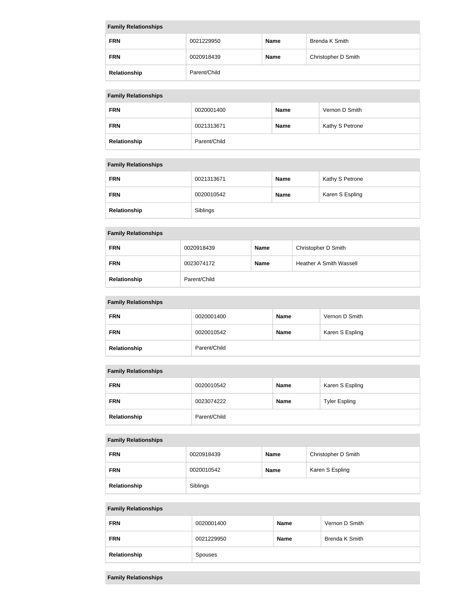| <b>Family Relationships</b>  |            |             |                     |
|------------------------------|------------|-------------|---------------------|
| <b>FRN</b>                   | 0021229950 | <b>Name</b> | Brenda K Smith      |
| <b>FRN</b>                   | 0020918439 | <b>Name</b> | Christopher D Smith |
| Parent/Child<br>Relationship |            |             |                     |

# **Family Relationships**

| <b>FRN</b>   | 0020001400   | <b>Name</b> | Vernon D Smith  |
|--------------|--------------|-------------|-----------------|
| <b>FRN</b>   | 0021313671   | <b>Name</b> | Kathy S Petrone |
| Relationship | Parent/Child |             |                 |

# **Family Relationships**

| <b>FRN</b>   | 0021313671 | <b>Name</b> | Kathy S Petrone |
|--------------|------------|-------------|-----------------|
| <b>FRN</b>   | 0020010542 | <b>Name</b> | Karen S Espling |
| Relationship | Siblings   |             |                 |

# **Family Relationships**

| <b>FRN</b>   | 0020918439   | <b>Name</b> | Christopher D Smith            |  |  |
|--------------|--------------|-------------|--------------------------------|--|--|
| <b>FRN</b>   | 0023074172   | <b>Name</b> | <b>Heather A Smith Wassell</b> |  |  |
| Relationship | Parent/Child |             |                                |  |  |

# **Family Relationships**

| <b>FRN</b>   | 0020001400   | <b>Name</b> | Vernon D Smith  |
|--------------|--------------|-------------|-----------------|
| <b>FRN</b>   | 0020010542   | <b>Name</b> | Karen S Espling |
| Relationship | Parent/Child |             |                 |

## **Family Relationships**

| <b>FRN</b>   | 0020010542   | <b>Name</b> | Karen S Espling      |
|--------------|--------------|-------------|----------------------|
| <b>FRN</b>   | 0023074222   | <b>Name</b> | <b>Tyler Espling</b> |
| Relationship | Parent/Child |             |                      |

# **Family Relationships**

| <b>FRN</b>   | 0020918439 | <b>Name</b> | Christopher D Smith |  |
|--------------|------------|-------------|---------------------|--|
| <b>FRN</b>   | 0020010542 | <b>Name</b> | Karen S Espling     |  |
| Relationship | Siblings   |             |                     |  |

# **Family Relationships**

| <b>FRN</b>   | 0020001400 | <b>Name</b> | Vernon D Smith |
|--------------|------------|-------------|----------------|
| <b>FRN</b>   | 0021229950 | <b>Name</b> | Brenda K Smith |
| Relationship | Spouses    |             |                |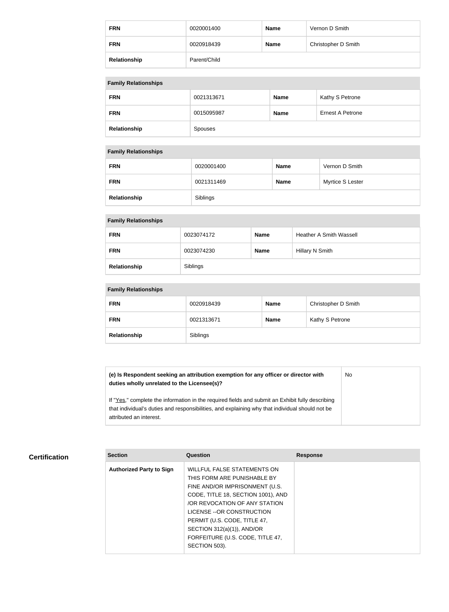| <b>FRN</b>   | 0020001400   | <b>Name</b> | Vernon D Smith      |
|--------------|--------------|-------------|---------------------|
| <b>FRN</b>   | 0020918439   | <b>Name</b> | Christopher D Smith |
| Relationship | Parent/Child |             |                     |

### **Family Relationships**

| <b>FRN</b>   | 0021313671 | <b>Name</b> | Kathy S Petrone  |
|--------------|------------|-------------|------------------|
| <b>FRN</b>   | 0015095987 | Name        | Ernest A Petrone |
| Relationship | Spouses    |             |                  |

#### **Family Relationships**

| <b>FRN</b>   | 0020001400 | <b>Name</b> | Vernon D Smith   |
|--------------|------------|-------------|------------------|
| <b>FRN</b>   | 0021311469 | <b>Name</b> | Myrtice S Lester |
| Relationship | Siblings   |             |                  |

### **Family Relationships**

| <b>FRN</b>   | 0023074172 | <b>Name</b> | <b>Heather A Smith Wassell</b> |
|--------------|------------|-------------|--------------------------------|
| <b>FRN</b>   | 0023074230 | <b>Name</b> | Hillary N Smith                |
| Relationship | Siblings   |             |                                |

# **Family Relationships**

| <b>FRN</b>   | 0020918439 | Name | Christopher D Smith |
|--------------|------------|------|---------------------|
| <b>FRN</b>   | 0021313671 | Name | Kathy S Petrone     |
| Relationship | Siblings   |      |                     |

**(e) Is Respondent seeking an attribution exemption for any officer or director with duties wholly unrelated to the Licensee(s)?** No

If "Yes," complete the information in the required fields and submit an Exhibit fully describing that individual's duties and responsibilities, and explaining why that individual should not be attributed an interest.

## **Certification**

| <b>Section</b>                  | Question                           | <b>Response</b> |
|---------------------------------|------------------------------------|-----------------|
| <b>Authorized Party to Sign</b> | <b>WILLFUL FALSE STATEMENTS ON</b> |                 |
|                                 | THIS FORM ARE PUNISHABLE BY        |                 |
|                                 | FINE AND/OR IMPRISONMENT (U.S.     |                 |
|                                 | CODE, TITLE 18, SECTION 1001), AND |                 |
|                                 | OR REVOCATION OF ANY STATION       |                 |
|                                 | LICENSE -- OR CONSTRUCTION         |                 |
|                                 | PERMIT (U.S. CODE, TITLE 47,       |                 |
|                                 | SECTION 312(a)(1)), AND/OR         |                 |
|                                 | FORFEITURE (U.S. CODE, TITLE 47,   |                 |
|                                 | SECTION 503).                      |                 |
|                                 |                                    |                 |